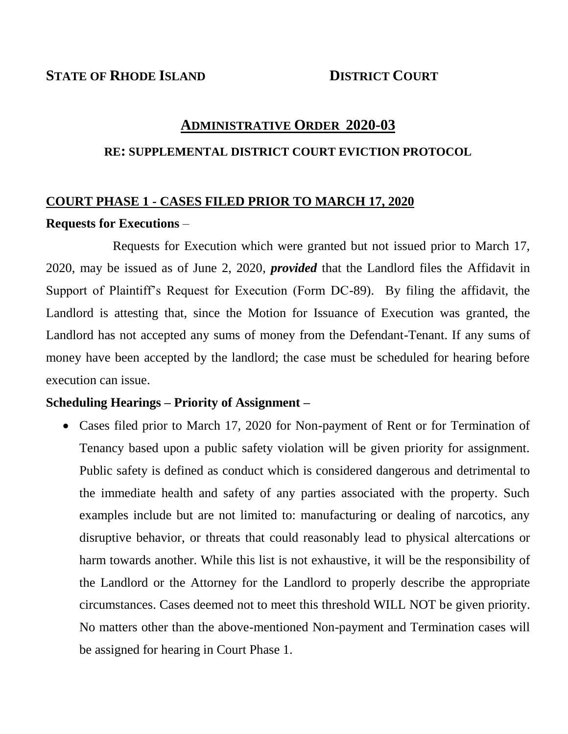## **ADMINISTRATIVE ORDER 2020-03**

### **RE: SUPPLEMENTAL DISTRICT COURT EVICTION PROTOCOL**

### **COURT PHASE 1 - CASES FILED PRIOR TO MARCH 17, 2020**

#### **Requests for Executions** –

Requests for Execution which were granted but not issued prior to March 17, 2020, may be issued as of June 2, 2020, *provided* that the Landlord files the Affidavit in Support of Plaintiff's Request for Execution (Form DC-89). By filing the affidavit, the Landlord is attesting that, since the Motion for Issuance of Execution was granted, the Landlord has not accepted any sums of money from the Defendant-Tenant. If any sums of money have been accepted by the landlord; the case must be scheduled for hearing before execution can issue.

#### **Scheduling Hearings – Priority of Assignment –**

• Cases filed prior to March 17, 2020 for Non-payment of Rent or for Termination of Tenancy based upon a public safety violation will be given priority for assignment. Public safety is defined as conduct which is considered dangerous and detrimental to the immediate health and safety of any parties associated with the property. Such examples include but are not limited to: manufacturing or dealing of narcotics, any disruptive behavior, or threats that could reasonably lead to physical altercations or harm towards another. While this list is not exhaustive, it will be the responsibility of the Landlord or the Attorney for the Landlord to properly describe the appropriate circumstances. Cases deemed not to meet this threshold WILL NOT be given priority. No matters other than the above-mentioned Non-payment and Termination cases will be assigned for hearing in Court Phase 1.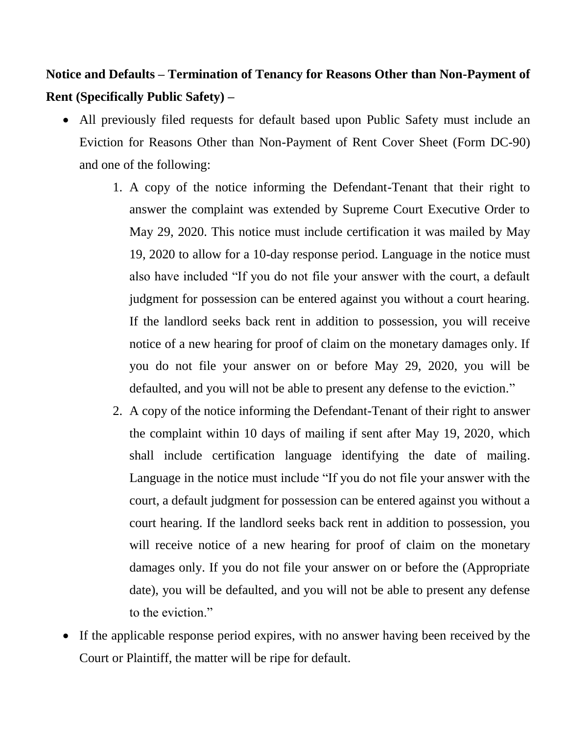# **Notice and Defaults – Termination of Tenancy for Reasons Other than Non-Payment of Rent (Specifically Public Safety) –**

- All previously filed requests for default based upon Public Safety must include an Eviction for Reasons Other than Non-Payment of Rent Cover Sheet (Form DC-90) and one of the following:
	- 1. A copy of the notice informing the Defendant-Tenant that their right to answer the complaint was extended by Supreme Court Executive Order to May 29, 2020. This notice must include certification it was mailed by May 19, 2020 to allow for a 10-day response period. Language in the notice must also have included "If you do not file your answer with the court, a default judgment for possession can be entered against you without a court hearing. If the landlord seeks back rent in addition to possession, you will receive notice of a new hearing for proof of claim on the monetary damages only. If you do not file your answer on or before May 29, 2020, you will be defaulted, and you will not be able to present any defense to the eviction."
	- 2. A copy of the notice informing the Defendant-Tenant of their right to answer the complaint within 10 days of mailing if sent after May 19, 2020, which shall include certification language identifying the date of mailing. Language in the notice must include "If you do not file your answer with the court, a default judgment for possession can be entered against you without a court hearing. If the landlord seeks back rent in addition to possession, you will receive notice of a new hearing for proof of claim on the monetary damages only. If you do not file your answer on or before the (Appropriate date), you will be defaulted, and you will not be able to present any defense to the eviction."
- If the applicable response period expires, with no answer having been received by the Court or Plaintiff, the matter will be ripe for default.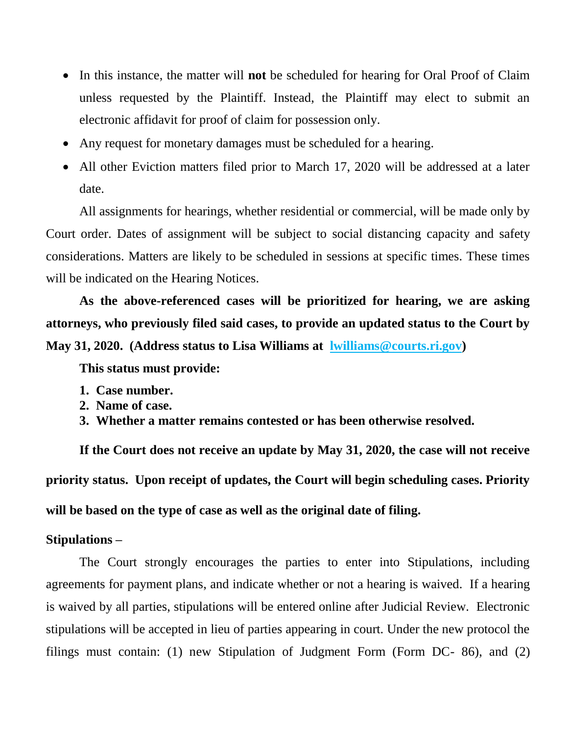- In this instance, the matter will **not** be scheduled for hearing for Oral Proof of Claim unless requested by the Plaintiff. Instead, the Plaintiff may elect to submit an electronic affidavit for proof of claim for possession only.
- Any request for monetary damages must be scheduled for a hearing.
- All other Eviction matters filed prior to March 17, 2020 will be addressed at a later date.

All assignments for hearings, whether residential or commercial, will be made only by Court order. Dates of assignment will be subject to social distancing capacity and safety considerations. Matters are likely to be scheduled in sessions at specific times. These times will be indicated on the Hearing Notices.

**As the above-referenced cases will be prioritized for hearing, we are asking attorneys, who previously filed said cases, to provide an updated status to the Court by May 31, 2020. (Address status to Lisa Williams at [lwilliams@courts.ri.gov\)](mailto:lwilliams@courts.ri.gov)**

**This status must provide:**

- **1. Case number.**
- **2. Name of case.**
- **3. Whether a matter remains contested or has been otherwise resolved.**

**If the Court does not receive an update by May 31, 2020, the case will not receive priority status. Upon receipt of updates, the Court will begin scheduling cases. Priority will be based on the type of case as well as the original date of filing.** 

#### **Stipulations –**

The Court strongly encourages the parties to enter into Stipulations, including agreements for payment plans, and indicate whether or not a hearing is waived. If a hearing is waived by all parties, stipulations will be entered online after Judicial Review. Electronic stipulations will be accepted in lieu of parties appearing in court. Under the new protocol the filings must contain: (1) new Stipulation of Judgment Form (Form DC- 86), and (2)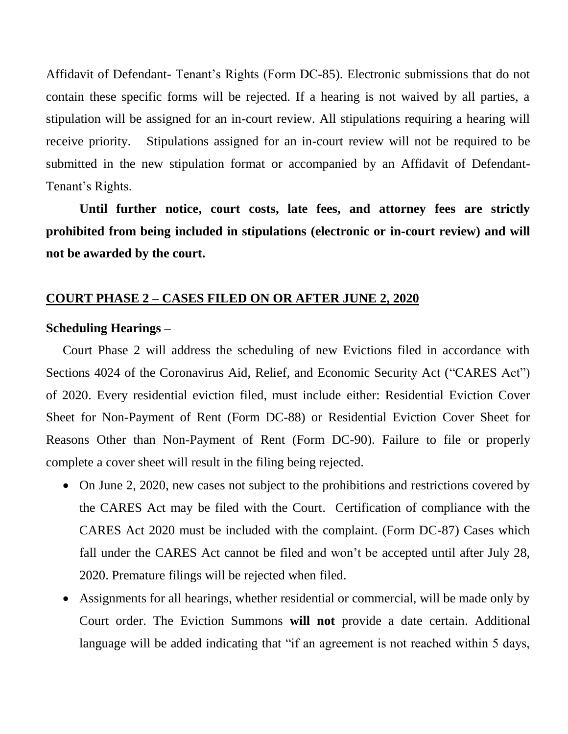Affidavit of Defendant- Tenant's Rights (Form DC-85). Electronic submissions that do not contain these specific forms will be rejected. If a hearing is not waived by all parties, a stipulation will be assigned for an in-court review. All stipulations requiring a hearing will receive priority. Stipulations assigned for an in-court review will not be required to be submitted in the new stipulation format or accompanied by an Affidavit of Defendant-Tenant's Rights.

**Until further notice, court costs, late fees, and attorney fees are strictly prohibited from being included in stipulations (electronic or in-court review) and will not be awarded by the court.**

#### **COURT PHASE 2 – CASES FILED ON OR AFTER JUNE 2, 2020**

#### **Scheduling Hearings –**

Court Phase 2 will address the scheduling of new Evictions filed in accordance with Sections 4024 of the Coronavirus Aid, Relief, and Economic Security Act ("CARES Act") of 2020. Every residential eviction filed, must include either: Residential Eviction Cover Sheet for Non-Payment of Rent (Form DC-88) or Residential Eviction Cover Sheet for Reasons Other than Non-Payment of Rent (Form DC-90). Failure to file or properly complete a cover sheet will result in the filing being rejected.

- On June 2, 2020, new cases not subject to the prohibitions and restrictions covered by the CARES Act may be filed with the Court. Certification of compliance with the CARES Act 2020 must be included with the complaint. (Form DC-87) Cases which fall under the CARES Act cannot be filed and won't be accepted until after July 28, 2020. Premature filings will be rejected when filed.
- Assignments for all hearings, whether residential or commercial, will be made only by Court order. The Eviction Summons **will not** provide a date certain. Additional language will be added indicating that "if an agreement is not reached within 5 days,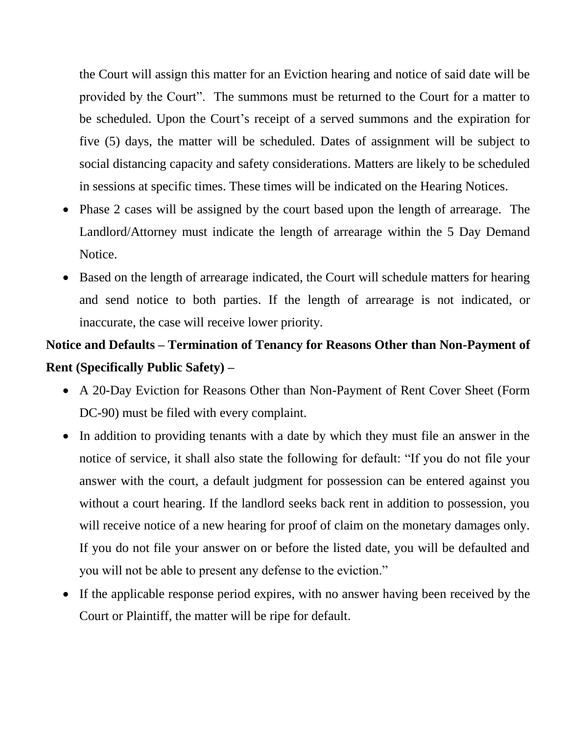the Court will assign this matter for an Eviction hearing and notice of said date will be provided by the Court". The summons must be returned to the Court for a matter to be scheduled. Upon the Court's receipt of a served summons and the expiration for five (5) days, the matter will be scheduled. Dates of assignment will be subject to social distancing capacity and safety considerations. Matters are likely to be scheduled in sessions at specific times. These times will be indicated on the Hearing Notices.

- Phase 2 cases will be assigned by the court based upon the length of arrearage. The Landlord/Attorney must indicate the length of arrearage within the 5 Day Demand Notice.
- Based on the length of arrearage indicated, the Court will schedule matters for hearing and send notice to both parties. If the length of arrearage is not indicated, or inaccurate, the case will receive lower priority.

# **Notice and Defaults – Termination of Tenancy for Reasons Other than Non-Payment of Rent (Specifically Public Safety) –**

- A 20-Day Eviction for Reasons Other than Non-Payment of Rent Cover Sheet (Form DC-90) must be filed with every complaint.
- In addition to providing tenants with a date by which they must file an answer in the notice of service, it shall also state the following for default: "If you do not file your answer with the court, a default judgment for possession can be entered against you without a court hearing. If the landlord seeks back rent in addition to possession, you will receive notice of a new hearing for proof of claim on the monetary damages only. If you do not file your answer on or before the listed date, you will be defaulted and you will not be able to present any defense to the eviction."
- If the applicable response period expires, with no answer having been received by the Court or Plaintiff, the matter will be ripe for default.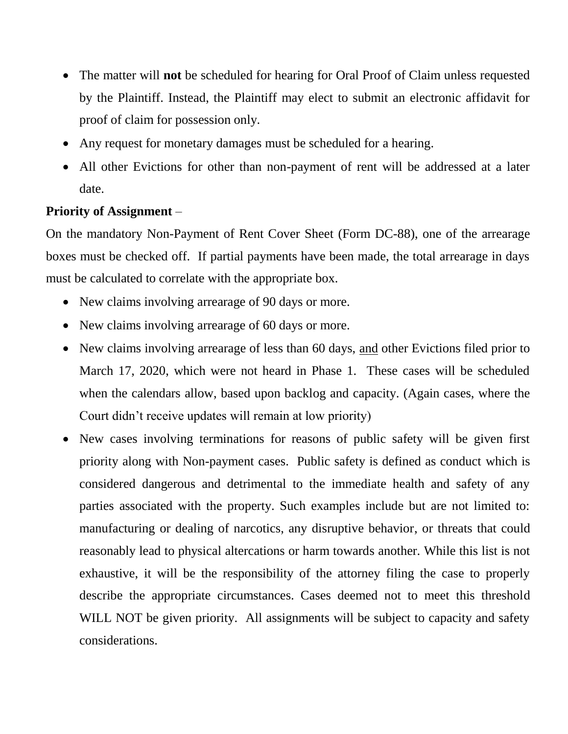- The matter will **not** be scheduled for hearing for Oral Proof of Claim unless requested by the Plaintiff. Instead, the Plaintiff may elect to submit an electronic affidavit for proof of claim for possession only.
- Any request for monetary damages must be scheduled for a hearing.
- All other Evictions for other than non-payment of rent will be addressed at a later date.

## **Priority of Assignment** –

On the mandatory Non-Payment of Rent Cover Sheet (Form DC-88), one of the arrearage boxes must be checked off. If partial payments have been made, the total arrearage in days must be calculated to correlate with the appropriate box.

- New claims involving arrearage of 90 days or more.
- New claims involving arrearage of 60 days or more.
- New claims involving arrearage of less than 60 days, and other Evictions filed prior to March 17, 2020, which were not heard in Phase 1. These cases will be scheduled when the calendars allow, based upon backlog and capacity. (Again cases, where the Court didn't receive updates will remain at low priority)
- New cases involving terminations for reasons of public safety will be given first priority along with Non-payment cases. Public safety is defined as conduct which is considered dangerous and detrimental to the immediate health and safety of any parties associated with the property. Such examples include but are not limited to: manufacturing or dealing of narcotics, any disruptive behavior, or threats that could reasonably lead to physical altercations or harm towards another. While this list is not exhaustive, it will be the responsibility of the attorney filing the case to properly describe the appropriate circumstances. Cases deemed not to meet this threshold WILL NOT be given priority. All assignments will be subject to capacity and safety considerations.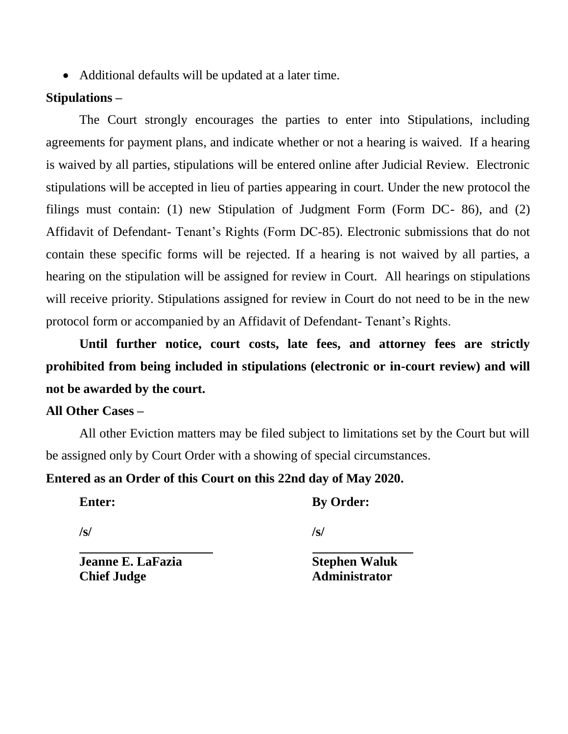Additional defaults will be updated at a later time.

#### **Stipulations –**

The Court strongly encourages the parties to enter into Stipulations, including agreements for payment plans, and indicate whether or not a hearing is waived. If a hearing is waived by all parties, stipulations will be entered online after Judicial Review. Electronic stipulations will be accepted in lieu of parties appearing in court. Under the new protocol the filings must contain: (1) new Stipulation of Judgment Form (Form DC- 86), and (2) Affidavit of Defendant- Tenant's Rights (Form DC-85). Electronic submissions that do not contain these specific forms will be rejected. If a hearing is not waived by all parties, a hearing on the stipulation will be assigned for review in Court. All hearings on stipulations will receive priority. Stipulations assigned for review in Court do not need to be in the new protocol form or accompanied by an Affidavit of Defendant- Tenant's Rights.

**Until further notice, court costs, late fees, and attorney fees are strictly prohibited from being included in stipulations (electronic or in-court review) and will not be awarded by the court.**

#### **All Other Cases –**

All other Eviction matters may be filed subject to limitations set by the Court but will be assigned only by Court Order with a showing of special circumstances.

**Entered as an Order of this Court on this 22nd day of May 2020.**

Enter: By Order:

**/s/ /s/**

**Jeanne E. LaFazia** Stephen Waluk **Chief Judge Administrator**